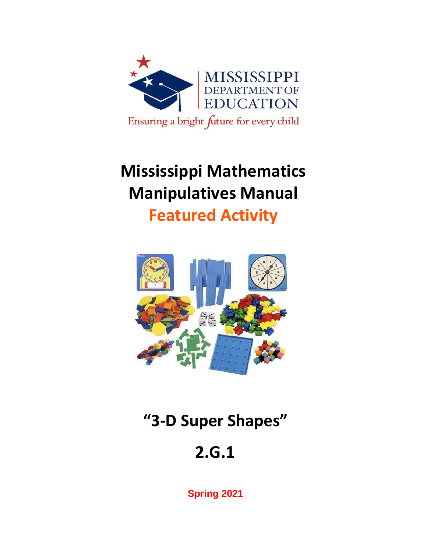

# **Mississippi Mathematics Manipulatives Manual**

**Featured Activity**



# **"3-D Super Shapes"**

# **2.G.1**

**Spring 2021**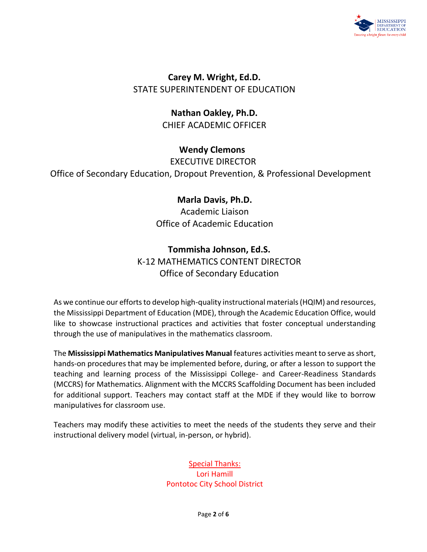

**Carey M. Wright, Ed.D.** STATE SUPERINTENDENT OF EDUCATION

> **Nathan Oakley, Ph.D.** CHIEF ACADEMIC OFFICER

> > **Wendy Clemons**

EXECUTIVE DIRECTOR

Office of Secondary Education, Dropout Prevention, & Professional Development

### **Marla Davis, Ph.D.**

Academic Liaison Office of Academic Education

### **Tommisha Johnson, Ed.S.**

K-12 MATHEMATICS CONTENT DIRECTOR Office of Secondary Education

As we continue our efforts to develop high-quality instructional materials (HQIM) and resources, the Mississippi Department of Education (MDE), through the Academic Education Office, would like to showcase instructional practices and activities that foster conceptual understanding through the use of manipulatives in the mathematics classroom.

The **Mississippi Mathematics Manipulatives Manual** features activities meant to serve as short, hands-on procedures that may be implemented before, during, or after a lesson to support the teaching and learning process of the Mississippi College- and Career-Readiness Standards (MCCRS) for Mathematics. Alignment with the MCCRS Scaffolding Document has been included for additional support. Teachers may contact staff at the MDE if they would like to borrow manipulatives for classroom use.

Teachers may modify these activities to meet the needs of the students they serve and their instructional delivery model (virtual, in-person, or hybrid).

> Special Thanks: Lori Hamill Pontotoc City School District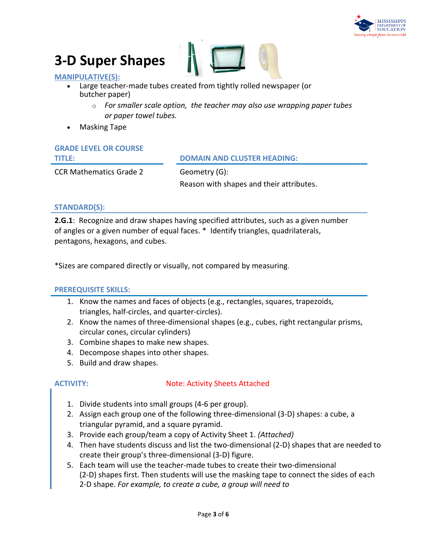

### **3-D Super Shapes**



#### **MANIPULATIVE(S):**

- Large teacher-made tubes created from tightly rolled newspaper (or butcher paper)
	- o *For smaller scale option, the teacher may also use wrapping paper tubes or paper towel tubes.*
- Masking Tape

**GRADE LEVEL OR COURSE** 

#### **TITLE: DOMAIN AND CLUSTER HEADING:**

CCR Mathematics Grade 2 Geometry (G):

Reason with shapes and their attributes.

#### **STANDARD(S):**

**2.G.1**: Recognize and draw shapes having specified attributes, such as a given number of angles or a given number of equal faces. \* Identify triangles, quadrilaterals, pentagons, hexagons, and cubes.

\*Sizes are compared directly or visually, not compared by measuring.

#### **PREREQUISITE SKILLS:**

- 1. Know the names and faces of objects (e.g., rectangles, squares, trapezoids, triangles, half-circles, and quarter-circles).
- 2. Know the names of three-dimensional shapes (e.g., cubes, right rectangular prisms, circular cones, circular cylinders)
- 3. Combine shapes to make new shapes.
- 4. Decompose shapes into other shapes.
- 5. Build and draw shapes.

#### **ACTIVITY:** Note: Activity Sheets Attached

- 1. Divide students into small groups (4-6 per group).
- 2. Assign each group one of the following three-dimensional (3-D) shapes: a cube, a triangular pyramid, and a square pyramid.
- 3. Provide each group/team a copy of Activity Sheet 1. *(Attached)*
- 4. Then have students discuss and list the two-dimensional (2-D) shapes that are needed to create their group's three-dimensional (3-D) figure.
- 5. Each team will use the teacher-made tubes to create their two-dimensional (2-D) shapes first. Then students will use the masking tape to connect the sides of each 2-D shape. *For example, to create a cube, a group will need to*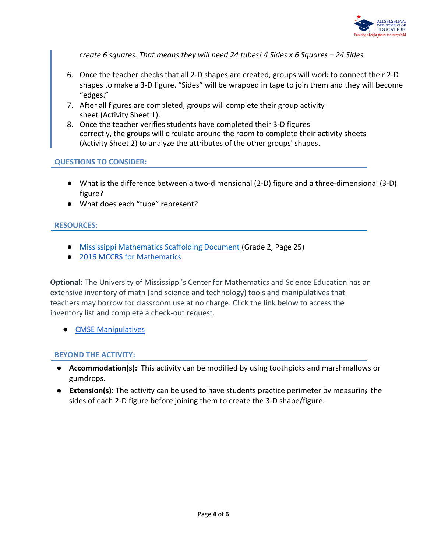

*create 6 squares. That means they will need 24 tubes! 4 Sides x 6 Squares = 24 Sides.*

- 6. Once the teacher checks that all 2-D shapes are created, groups will work to connect their 2-D shapes to make a 3-D figure. "Sides" will be wrapped in tape to join them and they will become "edges."
- 7. After all figures are completed, groups will complete their group activity sheet (Activity Sheet 1).
- 8. Once the teacher verifies students have completed their 3-D figures correctly, the groups will circulate around the room to complete their activity sheets (Activity Sheet 2) to analyze the attributes of the other groups' shapes.

#### **QUESTIONS TO CONSIDER:**

- What is the difference between a two-dimensional (2-D) figure and a three-dimensional (3-D) figure?
- What does each "tube" represent?

#### **RESOURCES:**

- [Mississippi Mathematics Scaffolding Document](https://www.mdek12.org/sites/default/files/Offices/Secondary%20Ed/ELA/ccr/Math/02.Grade-2-Math-Scaffolding-Doc.pdf) (Grade 2, Page 25)
- [2016 MCCRS for Mathematics](https://districtaccess.mde.k12.ms.us/curriculumandInstruction/Mathematics%20Resources/MS%20CCSSM%20Framework%20Documents/2016-MS-CCRS-Math.pdf)

**Optional:** The University of Mississippi's Center for Mathematics and Science Education has an extensive inventory of math (and science and technology) tools and manipulatives that teachers may borrow for classroom use at no charge. Click the link below to access the inventory list and complete a check-out request.

● [CMSE Manipulatives](https://sites.google.com/go.olemiss.edu/cmseresources/home)

#### **BEYOND THE ACTIVITY:**

- **Accommodation(s):** This activity can be modified by using toothpicks and marshmallows or gumdrops.
- **Extension(s):** The activity can be used to have students practice perimeter by measuring the sides of each 2-D figure before joining them to create the 3-D shape/figure.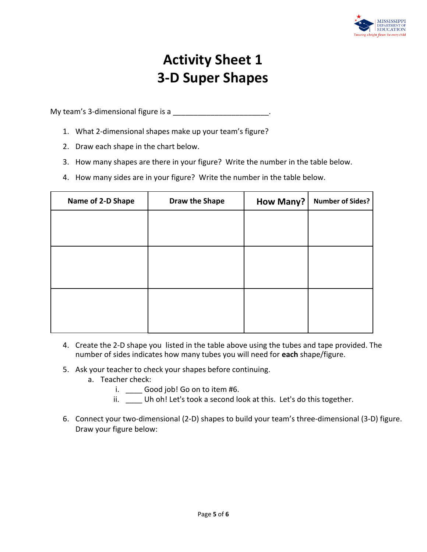

### **Activity Sheet 1 3-D Super Shapes**

My team's 3-dimensional figure is a

- 1. What 2-dimensional shapes make up your team's figure?
- 2. Draw each shape in the chart below.
- 3. How many shapes are there in your figure? Write the number in the table below.
- 4. How many sides are in your figure? Write the number in the table below.

| Name of 2-D Shape | Draw the Shape | How Many? | <b>Number of Sides?</b> |
|-------------------|----------------|-----------|-------------------------|
|                   |                |           |                         |
|                   |                |           |                         |
|                   |                |           |                         |
|                   |                |           |                         |
|                   |                |           |                         |
|                   |                |           |                         |
|                   |                |           |                         |

- 4. Create the 2-D shape you listed in the table above using the tubes and tape provided. The number of sides indicates how many tubes you will need for **each** shape/figure.
- 5. Ask your teacher to check your shapes before continuing.
	- a. Teacher check:
		- i. \_\_\_\_\_ Good job! Go on to item #6.
		- ii. \_\_\_\_ Uh oh! Let's took a second look at this. Let's do this together.
- 6. Connect your two-dimensional (2-D) shapes to build your team's three-dimensional (3-D) figure. Draw your figure below: